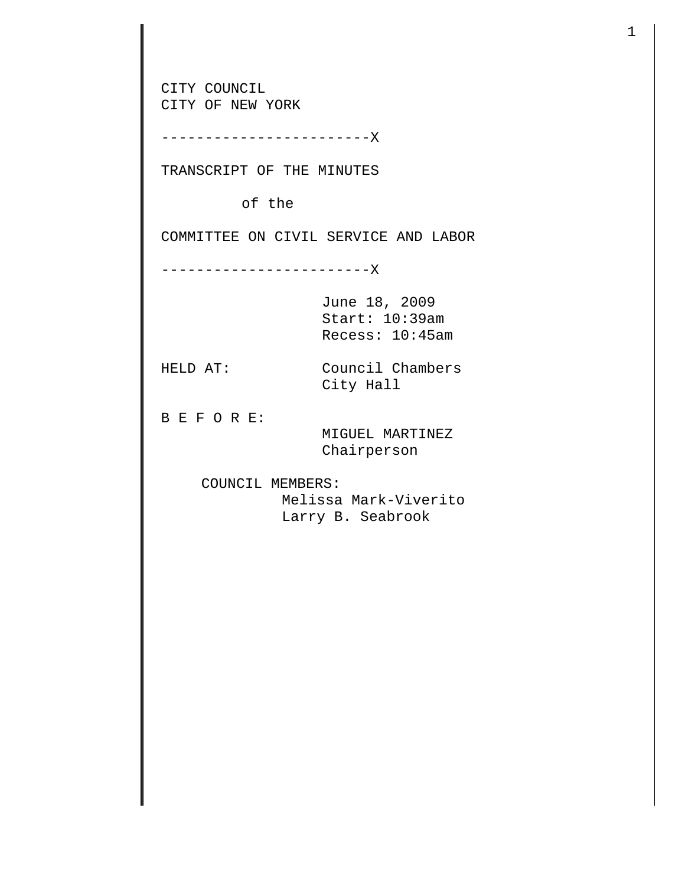CITY COUNCIL CITY OF NEW YORK ------------------------X TRANSCRIPT OF THE MINUTES of the COMMITTEE ON CIVIL SERVICE AND LABOR ------------------------X June 18, 2009 Start: 10:39am Recess: 10:45am HELD AT: Council Chambers City Hall B E F O R E: MIGUEL MARTINEZ Chairperson COUNCIL MEMBERS: Melissa Mark-Viverito Larry B. Seabrook

1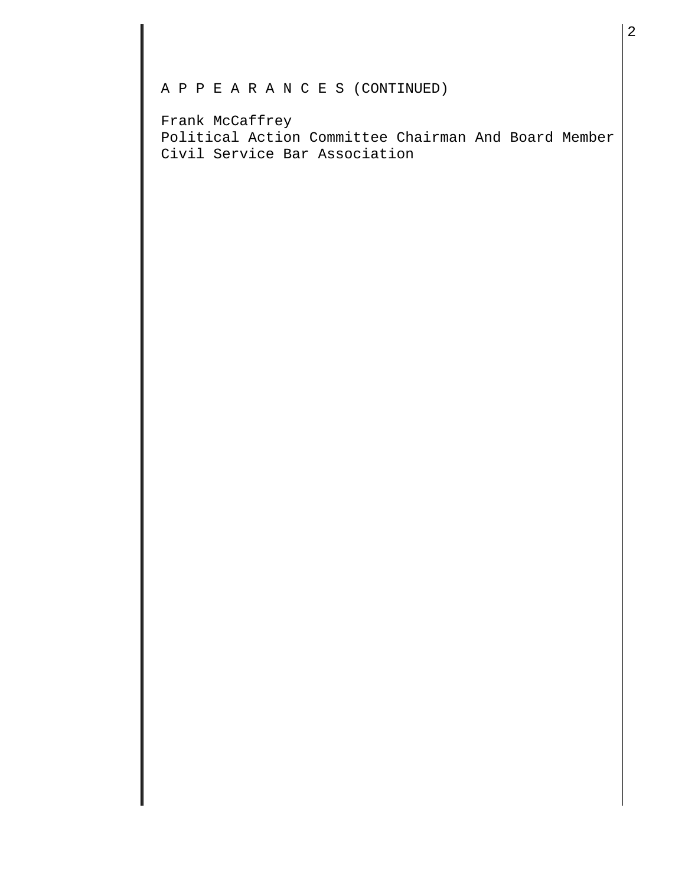## A P P E A R A N C E S (CONTINUED)

Frank McCaffrey Political Action Committee Chairman And Board Member Civil Service Bar Association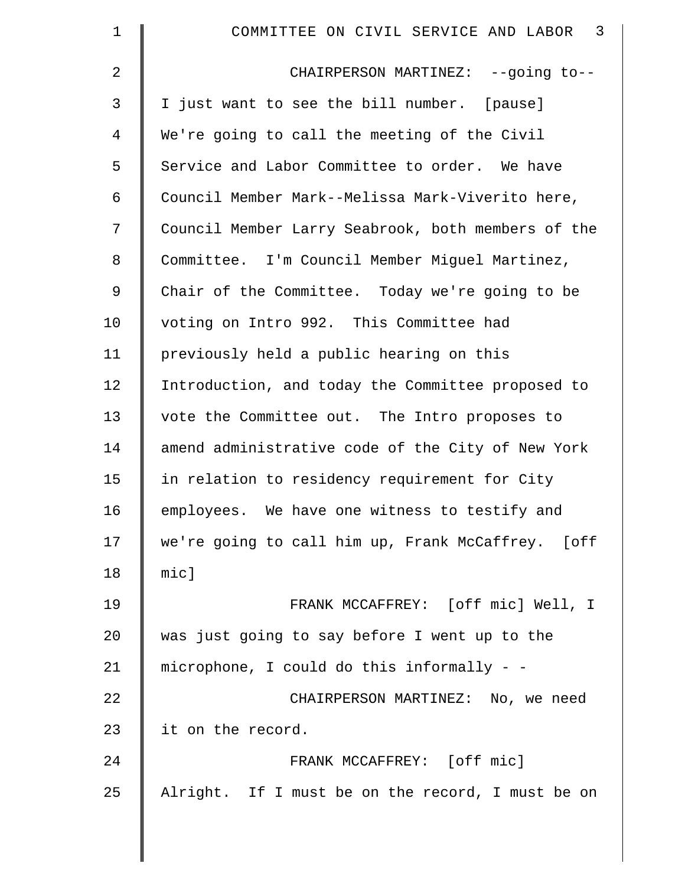| $\mathbf 1$    | $\overline{\mathbf{3}}$<br>COMMITTEE ON CIVIL SERVICE AND LABOR |
|----------------|-----------------------------------------------------------------|
| $\overline{a}$ | CHAIRPERSON MARTINEZ: --going to--                              |
| 3              | I just want to see the bill number. [pause]                     |
| 4              | We're going to call the meeting of the Civil                    |
| 5              | Service and Labor Committee to order. We have                   |
| 6              | Council Member Mark--Melissa Mark-Viverito here,                |
| 7              | Council Member Larry Seabrook, both members of the              |
| 8              | Committee. I'm Council Member Miguel Martinez,                  |
| 9              | Chair of the Committee. Today we're going to be                 |
| 10             | voting on Intro 992. This Committee had                         |
| 11             | previously held a public hearing on this                        |
| 12             | Introduction, and today the Committee proposed to               |
| 13             | vote the Committee out. The Intro proposes to                   |
| 14             | amend administrative code of the City of New York               |
| 15             | in relation to residency requirement for City                   |
| 16             | employees. We have one witness to testify and                   |
| 17             | we're going to call him up, Frank McCaffrey. [off               |
| 18             | mic]                                                            |
| 19             | FRANK MCCAFFREY: [off mic] Well, I                              |
| 20             | was just going to say before I went up to the                   |
| 21             | microphone, I could do this informally - -                      |
| 22             | CHAIRPERSON MARTINEZ: No, we need                               |
| 23             | it on the record.                                               |
| 24             | FRANK MCCAFFREY: [off mic]                                      |
| 25             | Alright. If I must be on the record, I must be on               |
|                |                                                                 |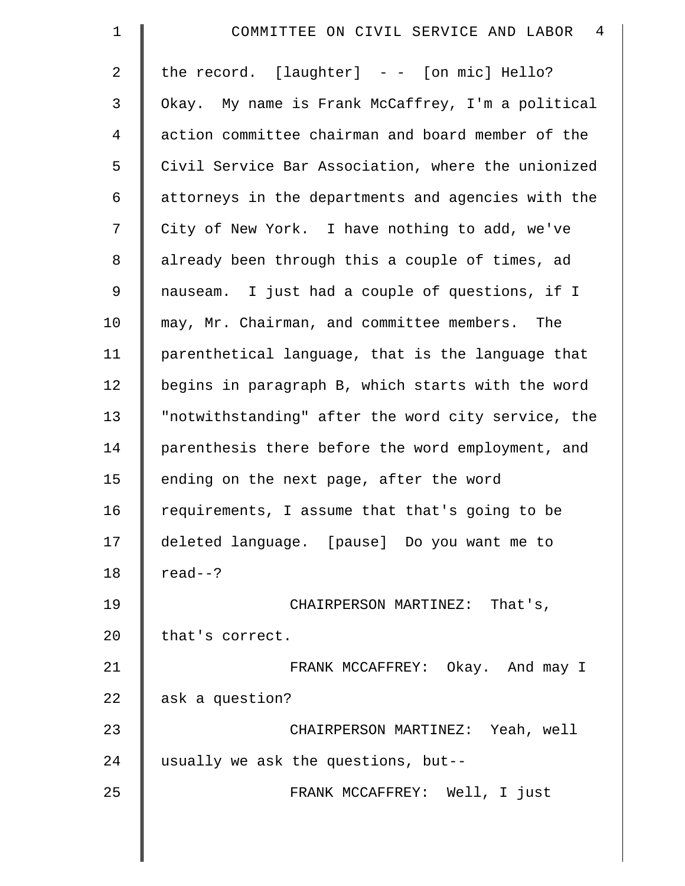| $\mathbf 1$    | COMMITTEE ON CIVIL SERVICE AND LABOR 4             |
|----------------|----------------------------------------------------|
| $\overline{a}$ | the record. $[layer] - - [on mic] Hello?$          |
| 3              | Okay. My name is Frank McCaffrey, I'm a political  |
| $\overline{4}$ | action committee chairman and board member of the  |
| 5              | Civil Service Bar Association, where the unionized |
| 6              | attorneys in the departments and agencies with the |
| 7              | City of New York. I have nothing to add, we've     |
| 8              | already been through this a couple of times, ad    |
| 9              | nauseam. I just had a couple of questions, if I    |
| 10             | may, Mr. Chairman, and committee members. The      |
| 11             | parenthetical language, that is the language that  |
| 12             | begins in paragraph B, which starts with the word  |
| 13             | "notwithstanding" after the word city service, the |
| 14             | parenthesis there before the word employment, and  |
| 15             | ending on the next page, after the word            |
| 16             | requirements, I assume that that's going to be     |
| 17             | deleted language. [pause] Do you want me to        |
| 18             | $read--?$                                          |
| 19             | CHAIRPERSON MARTINEZ: That's,                      |
| 20             | that's correct.                                    |
| 21             | FRANK MCCAFFREY: Okay. And may I                   |
| 22             | ask a question?                                    |
| 23             | CHAIRPERSON MARTINEZ: Yeah, well                   |
| 24             | usually we ask the questions, but--                |
| 25             | FRANK MCCAFFREY: Well, I just                      |
|                |                                                    |

 $\parallel$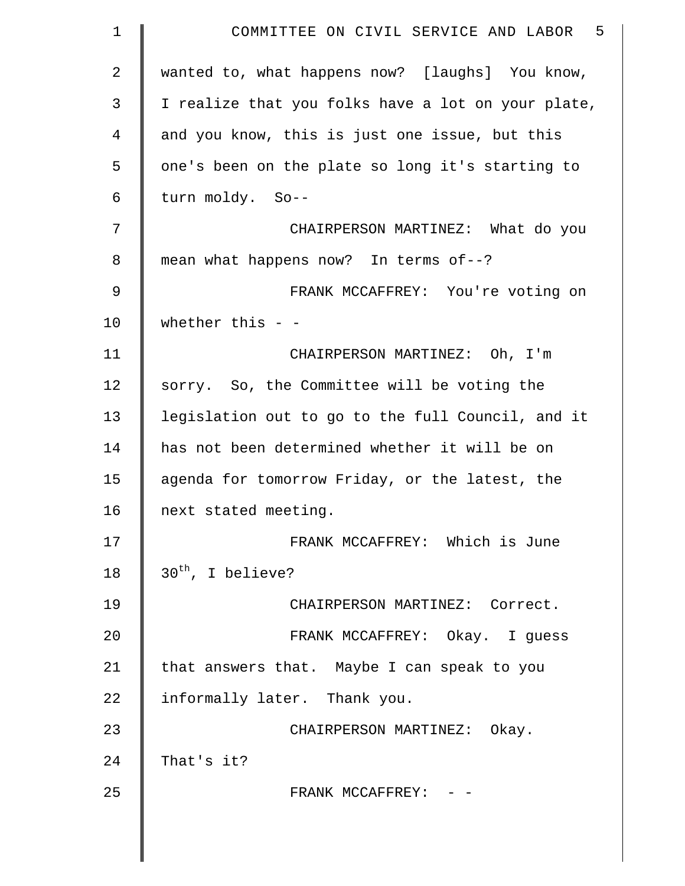| $\mathbf 1$    | COMMITTEE ON CIVIL SERVICE AND LABOR 5             |
|----------------|----------------------------------------------------|
| $\overline{2}$ | wanted to, what happens now? [laughs] You know,    |
| 3              | I realize that you folks have a lot on your plate, |
| 4              | and you know, this is just one issue, but this     |
| 5              | one's been on the plate so long it's starting to   |
| 6              | turn moldy. So--                                   |
| 7              | CHAIRPERSON MARTINEZ: What do you                  |
| 8              | mean what happens now? In terms of--?              |
| $\mathsf 9$    | FRANK MCCAFFREY: You're voting on                  |
| 10             | whether this $-$                                   |
| 11             | CHAIRPERSON MARTINEZ: Oh, I'm                      |
| 12             | sorry. So, the Committee will be voting the        |
| 13             | legislation out to go to the full Council, and it  |
| 14             | has not been determined whether it will be on      |
| 15             | agenda for tomorrow Friday, or the latest, the     |
| 16             | next stated meeting.                               |
| 17             | FRANK MCCAFFREY: Which is June                     |
| 18             | $30th$ , I believe?                                |
| 19             | CHAIRPERSON MARTINEZ: Correct.                     |
| 20             | FRANK MCCAFFREY: Okay. I guess                     |
| 21             | that answers that. Maybe I can speak to you        |
| 22             | informally later. Thank you.                       |
| 23             | CHAIRPERSON MARTINEZ: Okay.                        |
| 24             | That's it?                                         |
| 25             | FRANK MCCAFFREY: - -                               |
|                |                                                    |
|                |                                                    |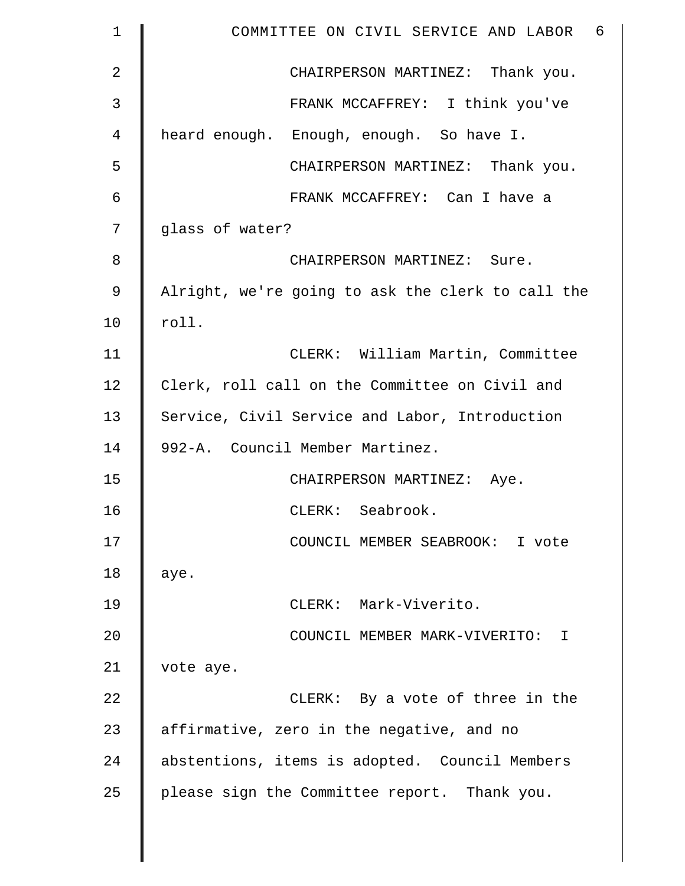| $\mathbf 1$    | COMMITTEE ON CIVIL SERVICE AND LABOR 6            |
|----------------|---------------------------------------------------|
| $\overline{2}$ | CHAIRPERSON MARTINEZ: Thank you.                  |
| 3              | FRANK MCCAFFREY: I think you've                   |
| 4              | heard enough. Enough, enough. So have I.          |
| 5              | CHAIRPERSON MARTINEZ: Thank you.                  |
| 6              | FRANK MCCAFFREY: Can I have a                     |
| 7              | glass of water?                                   |
| 8              | CHAIRPERSON MARTINEZ: Sure.                       |
| 9              | Alright, we're going to ask the clerk to call the |
| 10             | roll.                                             |
| 11             | CLERK: William Martin, Committee                  |
| 12             | Clerk, roll call on the Committee on Civil and    |
| 13             | Service, Civil Service and Labor, Introduction    |
| 14             | 992-A. Council Member Martinez.                   |
| 15             | CHAIRPERSON MARTINEZ: Aye.                        |
| 16             | CLERK: Seabrook.                                  |
| 17             | COUNCIL MEMBER SEABROOK: I vote                   |
| 18             | aye.                                              |
| 19             | CLERK: Mark-Viverito.                             |
| 20             | COUNCIL MEMBER MARK-VIVERITO: I                   |
| 21             | vote aye.                                         |
| 22             | CLERK: By a vote of three in the                  |
| 23             | affirmative, zero in the negative, and no         |
| 24             | abstentions, items is adopted. Council Members    |
| 25             | please sign the Committee report. Thank you.      |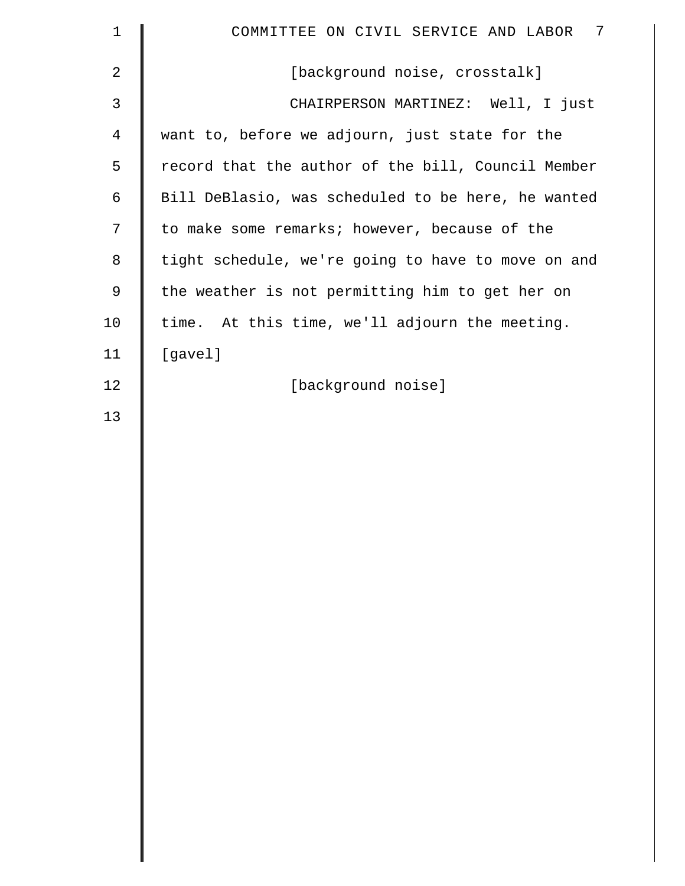| $1\,$          | $\overline{7}$<br>COMMITTEE ON CIVIL SERVICE AND LABOR |
|----------------|--------------------------------------------------------|
| $\overline{2}$ | [background noise, crosstalk]                          |
| $\mathsf{3}$   | CHAIRPERSON MARTINEZ: Well, I just                     |
| $\overline{4}$ | want to, before we adjourn, just state for the         |
| 5              | record that the author of the bill, Council Member     |
| 6              | Bill DeBlasio, was scheduled to be here, he wanted     |
| 7              | to make some remarks; however, because of the          |
| 8              | tight schedule, we're going to have to move on and     |
| $\mathsf 9$    | the weather is not permitting him to get her on        |
| 10             | time. At this time, we'll adjourn the meeting.         |
| 11             | [gavel]                                                |
| 12             | [background noise]                                     |
| 13             |                                                        |
|                |                                                        |
|                |                                                        |
|                |                                                        |
|                |                                                        |
|                |                                                        |
|                |                                                        |
|                |                                                        |
|                |                                                        |
|                |                                                        |
|                |                                                        |
|                |                                                        |
|                |                                                        |
|                |                                                        |
|                |                                                        |